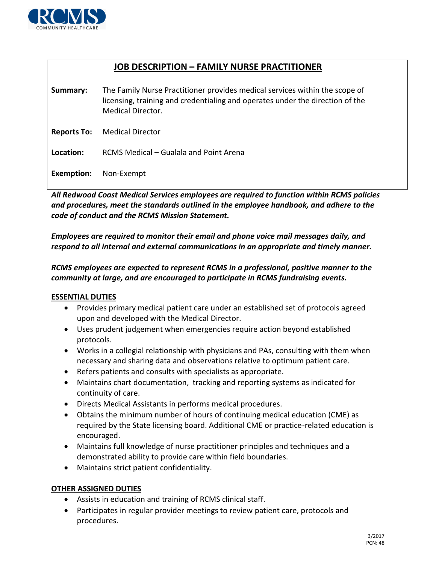

# **JOB DESCRIPTION – FAMILY NURSE PRACTITIONER**

**Summary:** The Family Nurse Practitioner provides medical services within the scope of licensing, training and credentialing and operates under the direction of the Medical Director.

**Reports To:** Medical Director

**Location:** RCMS Medical – Gualala and Point Arena

**Exemption:** Non-Exempt

*All Redwood Coast Medical Services employees are required to function within RCMS policies and procedures, meet the standards outlined in the employee handbook, and adhere to the code of conduct and the RCMS Mission Statement.* 

*Employees are required to monitor their email and phone voice mail messages daily, and respond to all internal and external communications in an appropriate and timely manner.*

### *RCMS employees are expected to represent RCMS in a professional, positive manner to the community at large, and are encouraged to participate in RCMS fundraising events.*

#### **ESSENTIAL DUTIES**

- Provides primary medical patient care under an established set of protocols agreed upon and developed with the Medical Director.
- Uses prudent judgement when emergencies require action beyond established protocols.
- Works in a collegial relationship with physicians and PAs, consulting with them when necessary and sharing data and observations relative to optimum patient care.
- Refers patients and consults with specialists as appropriate.
- Maintains chart documentation, tracking and reporting systems as indicated for continuity of care.
- Directs Medical Assistants in performs medical procedures.
- Obtains the minimum number of hours of continuing medical education (CME) as required by the State licensing board. Additional CME or practice-related education is encouraged.
- Maintains full knowledge of nurse practitioner principles and techniques and a demonstrated ability to provide care within field boundaries.
- Maintains strict patient confidentiality.

## **OTHER ASSIGNED DUTIES**

- Assists in education and training of RCMS clinical staff.
- Participates in regular provider meetings to review patient care, protocols and procedures.